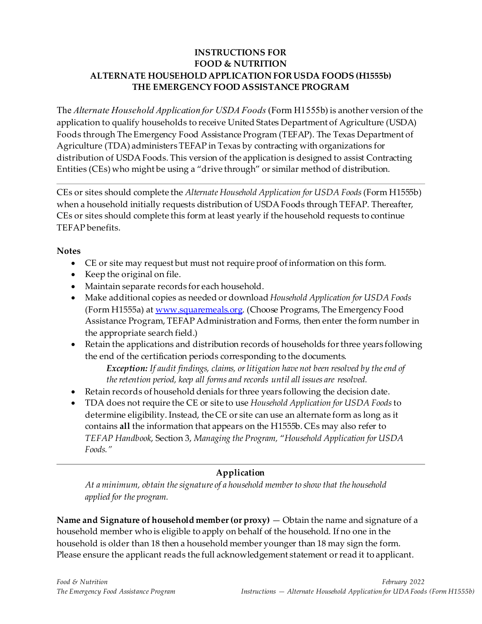#### **INSTRUCTIONS FOR FOOD & NUTRITION ALTERNATE HOUSEHOLD APPLICATION FOR USDA FOODS (H1555b) THE EMERGENCY FOOD ASSISTANCE PROGRAM**

The *Alternate Household Application for USDA Foods* (Form H1555b) is another version of the application to qualify households to receive United States Department of Agriculture (USDA) Foods through The Emergency Food Assistance Program (TEFAP). The Texas Department of Agriculture (TDA) administers TEFAP in Texas by contracting with organizations for distribution of USDA Foods. This version of the application is designed to assist Contracting Entities (CEs) who might be using a "drive through" or similar method of distribution.

CEs or sites should complete the *Alternate Household Application for USDA Foods*(Form H1555b) when a household initially requests distribution of USDA Foods through TEFAP. Thereafter, CEs or sites should complete this form at least yearly if the household requests to continue TEFAP benefits.

#### **Notes**

- CE or site may request but must not require proof of information on this form.
- Keep the original on file.
- Maintain separate records for each household.
- Make additional copies as needed or download *Household Application for USDA Foods* (Form H1555a) a[t www.squaremeals.org](http://www.squaremeals.org/). (Choose Programs, The Emergency Food Assistance Program, TEFAP Administration and Forms, then enter the form number in the appropriate search field.)
- Retain the applications and distribution records of households for three years following the end of the certification periods corresponding to the documents.

*Exception: If audit findings, claims, or litigation have not been resolved by the end of the retention period, keep all forms and records until all issues are resolved.*

- Retain records of household denials for three years following the decision date.
- TDA does not require the CE or site to use *Household Application for USDA Foods*to determine eligibility. Instead, the CE or site can use an alternate form as long as it contains **all** the information that appears on the H1555b. CEs may also refer to *TEFAP Handbook*, Section 3, *Managing the Program,* "*Household Application for USDA Foods."*

### **Application**

*At a minimum, obtain the signature of a household member to show that the household applied for the program.*

**Name and Signature of household member(or proxy)** — Obtain the name and signature of a household member who is eligible to apply on behalf of the household. If no one in the household is older than 18 then a household member younger than 18 may sign the form. Please ensure the applicant reads the full acknowledgement statement or read it to applicant.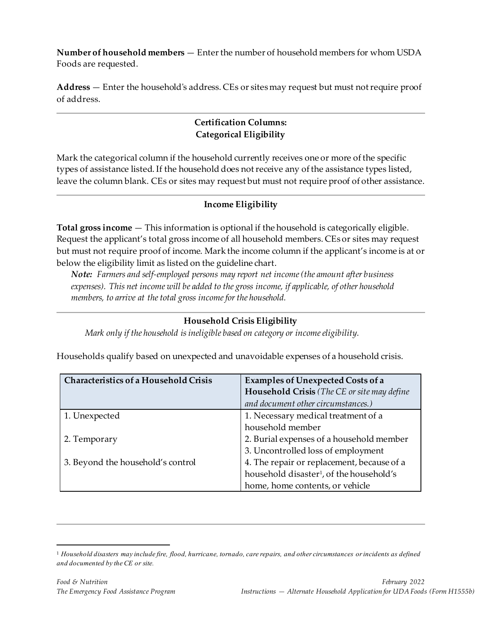**Number of household members** — Enter the number of household members for whom USDA Foods are requested.

**Address** — Enter the household's address. CEs or sites may request but must not require proof of address.

## **Certification Columns: Categorical Eligibility**

Mark the categorical column if the household currently receives one or more of the specific types of assistance listed. If the household does not receive any of the assistance types listed, leave the column blank. CEs or sites may request but must not require proof of other assistance.

### **Income Eligibility**

**Total gross income** — This information is optional if the household is categorically eligible. Request the applicant's total gross income of all household members. CEs or sites may request but must not require proof of income. Mark the income column if the applicant's income is at or below the eligibility limit as listed on the guideline chart.

*Note: Farmers and self-employed persons may report net income (the amount after business expenses). This net income will be added to the gross income, if applicable, of other household members, to arrive at the total gross income for the household.*

### **Household Crisis Eligibility**

*Mark only if the household is ineligible based on category or income eligibility.*

| Characteristics of a Household Crisis | <b>Examples of Unexpected Costs of a</b><br>Household Crisis (The CE or site may define |
|---------------------------------------|-----------------------------------------------------------------------------------------|
|                                       | and document other circumstances.)                                                      |
| 1. Unexpected                         | 1. Necessary medical treatment of a                                                     |
|                                       | household member                                                                        |
| 2. Temporary                          | 2. Burial expenses of a household member                                                |
|                                       | 3. Uncontrolled loss of employment                                                      |
| 3. Beyond the household's control     | 4. The repair or replacement, because of a                                              |
|                                       | household disaster <sup>1</sup> , of the household's                                    |
|                                       | home, home contents, or vehicle                                                         |

Households qualify based on unexpected and unavoidable expenses of a household crisis.

<span id="page-1-0"></span><sup>1</sup> *Household disasters may include fire, flood, hurricane, tornado, care repairs, and other circumstances or incidents as defined and documented by the CE or site.*